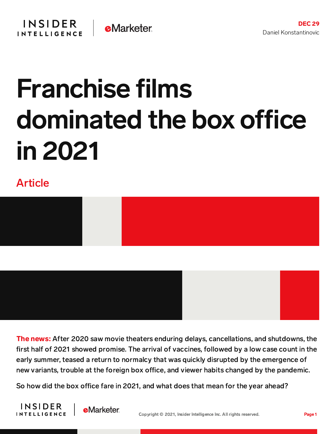## Franchise films dominated the box office in 2021

## Article





The news: After 2020 saw movie theaters enduring delays, cancellations, and shutdowns, the first half of 2021 showed promise. The arrival of vaccines, followed by a low case count in the early summer, teased a return to normalcy that was quickly disrupted by the emergence of new variants, trouble at the foreign box office, and viewer habits changed by the pandemic.

So how did the box office fare in 2021, and what does that mean for the year ahead?



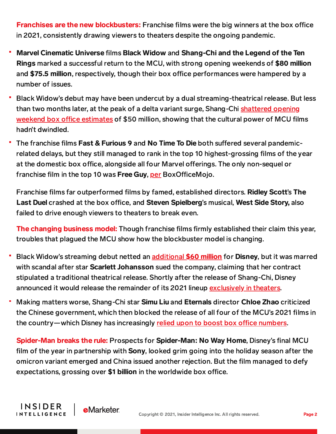**Franchises are the new blockbusters:** Franchise films were the big winners at the box office in 2021, consistently drawing viewers to theaters despite the ongoing pandemic.

- Marvel Cinematic Universe films Black Widow and Shang-Chi and the Legend of the Ten Rings marked a successful return to the MCU, with strong opening weekends of \$80 million and \$75.5 million, respectively, though their box office performances were hampered by a number of issues.
- Black Widow's debut may have been undercut by a dual streaming-theatrical release. But less than two months later, at the peak of a delta variant surge, [Shang-Chi](https://content-na2.emarketer.com/shang-chi-marks-new-movie-going-normal) shattered opening weekend box office estimates of \$50 million, showing that the cultural power of MCU films hadn't dwindled.
- The franchise films Fast & Furious 9 and No Time To Die both suffered several pandemicrelated delays, but they still managed to rank in the top 10 highest-grossing films of the year at the domestic box office, alongside all four Marvel offerings. The only non-sequel or franchise film in the top 10 was Free Guy, [per](https://www.boxofficemojo.com/year/2021/) BoxOfficeMojo.

Franchise films far outperformed films by famed, established directors. Ridley Scott's The Last Duel crashed at the box office, and Steven Spielberg's musical, West Side Story, also failed to drive enough viewers to theaters to break even.

The changing business model: Though franchise films firmly established their claim this year, troubles that plagued the MCU show how the blockbuster model is changing.

- Black Widow's streaming debut netted an [additional](https://content-na2.emarketer.com/disney-s-premier-access-plan-paying-off/) \$60 million for Disney, but it was marred with scandal after star Scarlett Johansson sued the company, claiming that her contract stipulated a traditional theatrical release. Shortly after the release of Shang-Chi, Disney announced it would release the remainder of its 2021 lineup [exclusively](https://content-na2.emarketer.com/disney-release-schedule-could-foreshadow-future-of-movie-theater) in theaters.
- Making matters worse, Shang-Chi star Simu Liu and Eternals director Chloe Zhao criticized the Chinese government, which then blocked the release of all four of the MCU's 2021 films in the country—which Disney has increasingly relied upon to boost box office [numbers.](https://content-na2.emarketer.com/disney-films-face-hangups-china-murky-us-theater-landscape)

Spider-Man breaks the rule: Prospects for Spider-Man: No Way Home, Disney's final MCU film of the year in partnership with **Sony**, looked grim going into the holiday season after the omicron variant emerged and China issued another rejection. But the film managed to defy expectations, grossing over \$1 billion in the worldwide box office.

INSIDER

**INTELLIGENCE** 

**eMarketer**